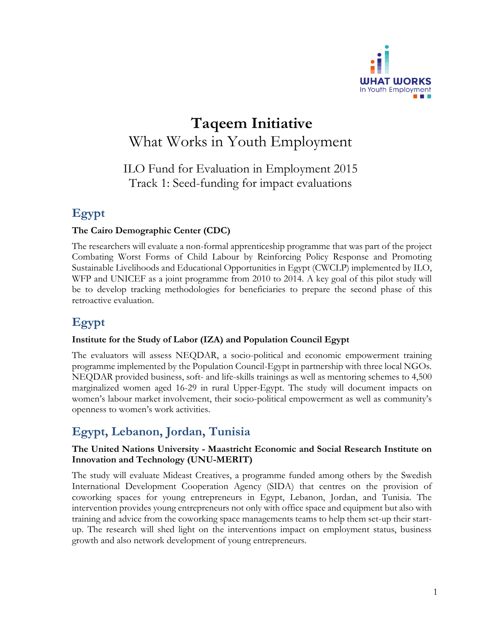

# **Taqeem Initiative** What Works in Youth Employment

ILO Fund for Evaluation in Employment 2015 Track 1: Seed-funding for impact evaluations

# **Egypt**

### **The Cairo Demographic Center (CDC)**

The researchers will evaluate a non-formal apprenticeship programme that was part of the project Combating Worst Forms of Child Labour by Reinforcing Policy Response and Promoting Sustainable Livelihoods and Educational Opportunities in Egypt (CWCLP) implemented by ILO, WFP and UNICEF as a joint programme from 2010 to 2014. A key goal of this pilot study will be to develop tracking methodologies for beneficiaries to prepare the second phase of this retroactive evaluation.

# **Egypt**

### **Institute for the Study of Labor (IZA) and Population Council Egypt**

The evaluators will assess NEQDAR, a socio-political and economic empowerment training programme implemented by the Population Council-Egypt in partnership with three local NGOs. NEQDAR provided business, soft- and life-skills trainings as well as mentoring schemes to 4,500 marginalized women aged 16-29 in rural Upper-Egypt. The study will document impacts on women's labour market involvement, their socio-political empowerment as well as community's openness to women's work activities.

# **Egypt, Lebanon, Jordan, Tunisia**

### **The United Nations University - Maastricht Economic and Social Research Institute on Innovation and Technology (UNU-MERIT)**

The study will evaluate Mideast Creatives, a programme funded among others by the Swedish International Development Cooperation Agency (SIDA) that centres on the provision of coworking spaces for young entrepreneurs in Egypt, Lebanon, Jordan, and Tunisia. The intervention provides young entrepreneurs not only with office space and equipment but also with training and advice from the coworking space managements teams to help them set-up their startup. The research will shed light on the interventions impact on employment status, business growth and also network development of young entrepreneurs.